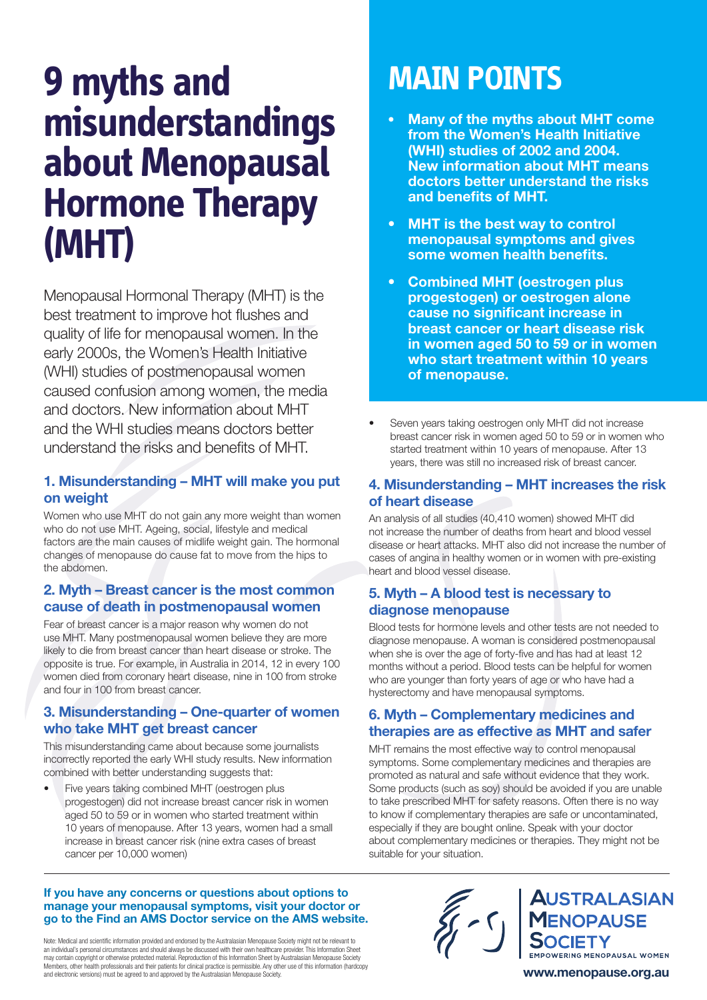# **9 myths and misunderstandings about Menopausal Hormone Therapy (MHT)**

Menopausal Hormonal Therapy (MHT) is the best treatment to improve hot flushes and quality of life for menopausal women. In the early 2000s, the Women's Health Initiative (WHI) studies of postmenopausal women caused confusion among women, the media and doctors. New information about MHT and the WHI studies means doctors better understand the risks and benefits of MHT.

## 1. Misunderstanding – MHT will make you put on weight

Women who use MHT do not gain any more weight than women who do not use MHT. Ageing, social, lifestyle and medical factors are the main causes of midlife weight gain. The hormonal changes of menopause do cause fat to move from the hips to the abdomen.

## 2. Myth – Breast cancer is the most common cause of death in postmenopausal women

Fear of breast cancer is a major reason why women do not use MHT. Many postmenopausal women believe they are more likely to die from breast cancer than heart disease or stroke. The opposite is true. For example, in Australia in 2014, 12 in every 100 women died from coronary heart disease, nine in 100 from stroke and four in 100 from breast cancer.

## 3. Misunderstanding – One-quarter of women who take MHT get breast cancer

This misunderstanding came about because some journalists incorrectly reported the early WHI study results. New information combined with better understanding suggests that:

• Five years taking combined MHT (oestrogen plus progestogen) did not increase breast cancer risk in women aged 50 to 59 or in women who started treatment within 10 years of menopause. After 13 years, women had a small increase in breast cancer risk (nine extra cases of breast cancer per 10,000 women)

## **MAIN POINTS**

- Many of the myths about MHT come from the Women's Health Initiative (WHI) studies of 2002 and 2004. New information about MHT means doctors better understand the risks and benefits of MHT.
- MHT is the best way to control menopausal symptoms and gives some women health benefits.
- Combined MHT (oestrogen plus progestogen) or oestrogen alone cause no significant increase in breast cancer or heart disease risk in women aged 50 to 59 or in women who start treatment within 10 years of menopause.
- Seven years taking oestrogen only MHT did not increase breast cancer risk in women aged 50 to 59 or in women who started treatment within 10 years of menopause. After 13 years, there was still no increased risk of breast cancer.

## 4. Misunderstanding – MHT increases the risk of heart disease

An analysis of all studies (40,410 women) showed MHT did not increase the number of deaths from heart and blood vessel disease or heart attacks. MHT also did not increase the number of cases of angina in healthy women or in women with pre-existing heart and blood vessel disease.

## 5. Myth – A blood test is necessary to diagnose menopause

Blood tests for hormone levels and other tests are not needed to diagnose menopause. A woman is considered postmenopausal when she is over the age of forty-five and has had at least 12 months without a period. Blood tests can be helpful for women who are younger than forty years of age or who have had a hysterectomy and have menopausal symptoms.

## 6. Myth – Complementary medicines and therapies are as effective as MHT and safer

MHT remains the most effective way to control menopausal symptoms. Some complementary medicines and therapies are promoted as natural and safe without evidence that they work. Some products (such as soy) should be avoided if you are unable to take prescribed MHT for safety reasons. Often there is no way to know if complementary therapies are safe or uncontaminated, especially if they are bought online. Speak with your doctor about complementary medicines or therapies. They might not be suitable for your situation.

#### If you have any concerns or questions about options to manage your menopausal symptoms, visit your doctor or go to the Find an AMS Doctor service on the AMS website.

Note: Medical and scientific information provided and endorsed by the Australasian Menopause Society might not be relevant to an individual's personal circumstances and should always be discussed with their own healthcare provider. This Information Sheet may contain copyright or otherwise protected material. Reproduction of this Information Sheet by Australasian Menopause Society Members, other health professionals and their patients for clinical practice is permissible. Any other use of this information (hardcopy)<br>Members, other health professionals and their patients for clinical practice is perm and electronic versions) must be agreed to and approved by the Australasian Menopause Society.



**AUSTRALASIAN VOPAUSE EMPOWERING MENOPAUSAL WOMEN** www.menopause.org.au